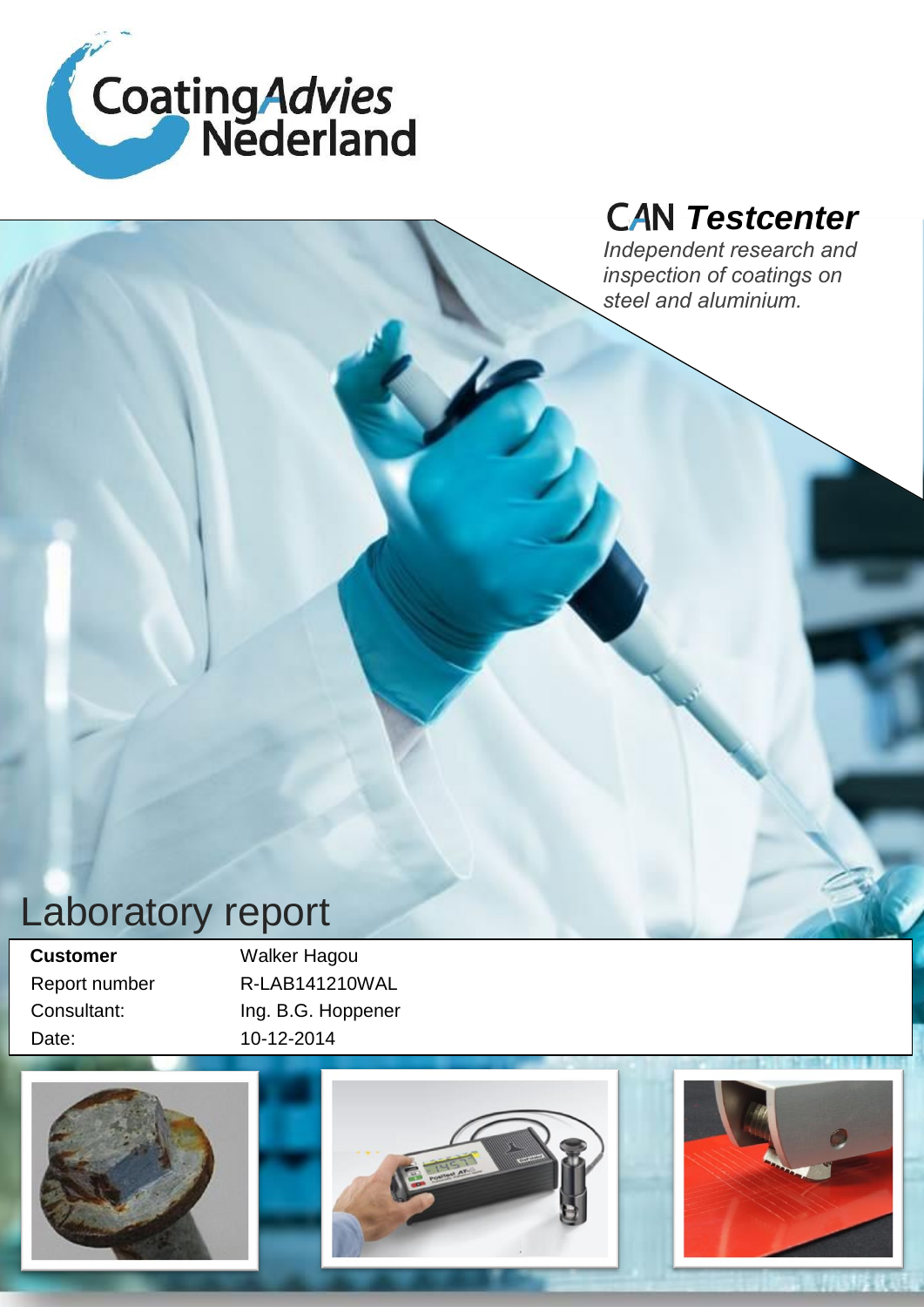

# *Testcenter*

*Independent research and inspection of coatings on steel and aluminium.*

# Laboratory report

**Customer Walker Hagou** Date: 10-12-2014

 Report number R-LAB141210WAL Consultant: Ing. B.G. Hoppener

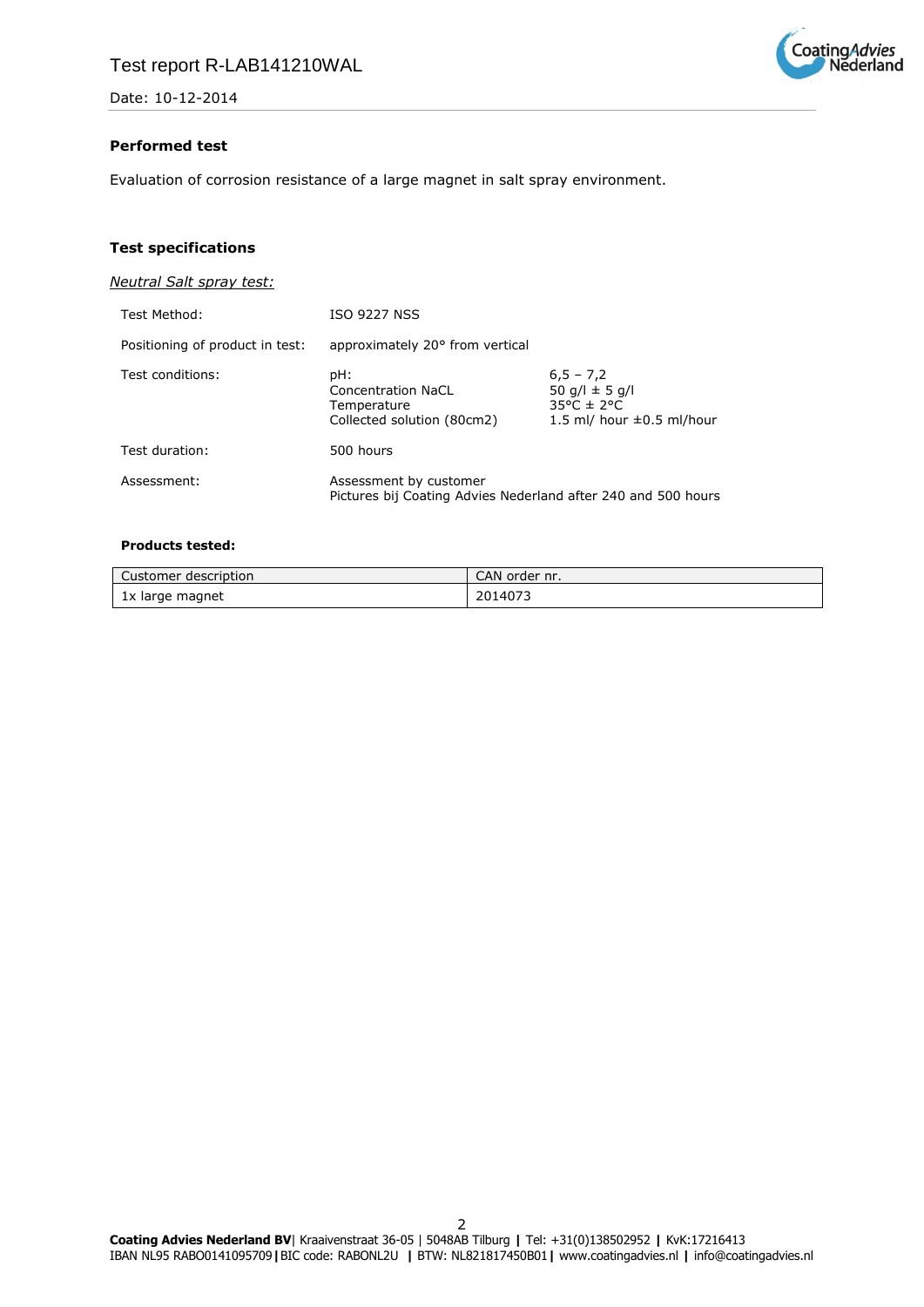

### **Performed test**

Evaluation of corrosion resistance of a large magnet in salt spray environment.

# **Test specifications**

*Neutral Salt spray test:*

| Test Method:                    | <b>ISO 9227 NSS</b>                                                                     |                                                                                             |
|---------------------------------|-----------------------------------------------------------------------------------------|---------------------------------------------------------------------------------------------|
| Positioning of product in test: | approximately 20° from vertical                                                         |                                                                                             |
| Test conditions:                | pH:<br>Concentration NaCL<br>Temperature<br>Collected solution (80cm2)                  | $6,5 - 7,2$<br>50 g/l $\pm$ 5 g/l<br>$35^{\circ}$ C ± 2°C<br>1.5 ml/ hour $\pm 0.5$ ml/hour |
| Test duration:                  | 500 hours                                                                               |                                                                                             |
| Assessment:                     | Assessment by customer<br>Pictures bij Coating Advies Nederland after 240 and 500 hours |                                                                                             |

#### **Products tested:**

| Customer<br>r description. | CAN order nr. |
|----------------------------|---------------|
| 1x large magnet            | 2014073       |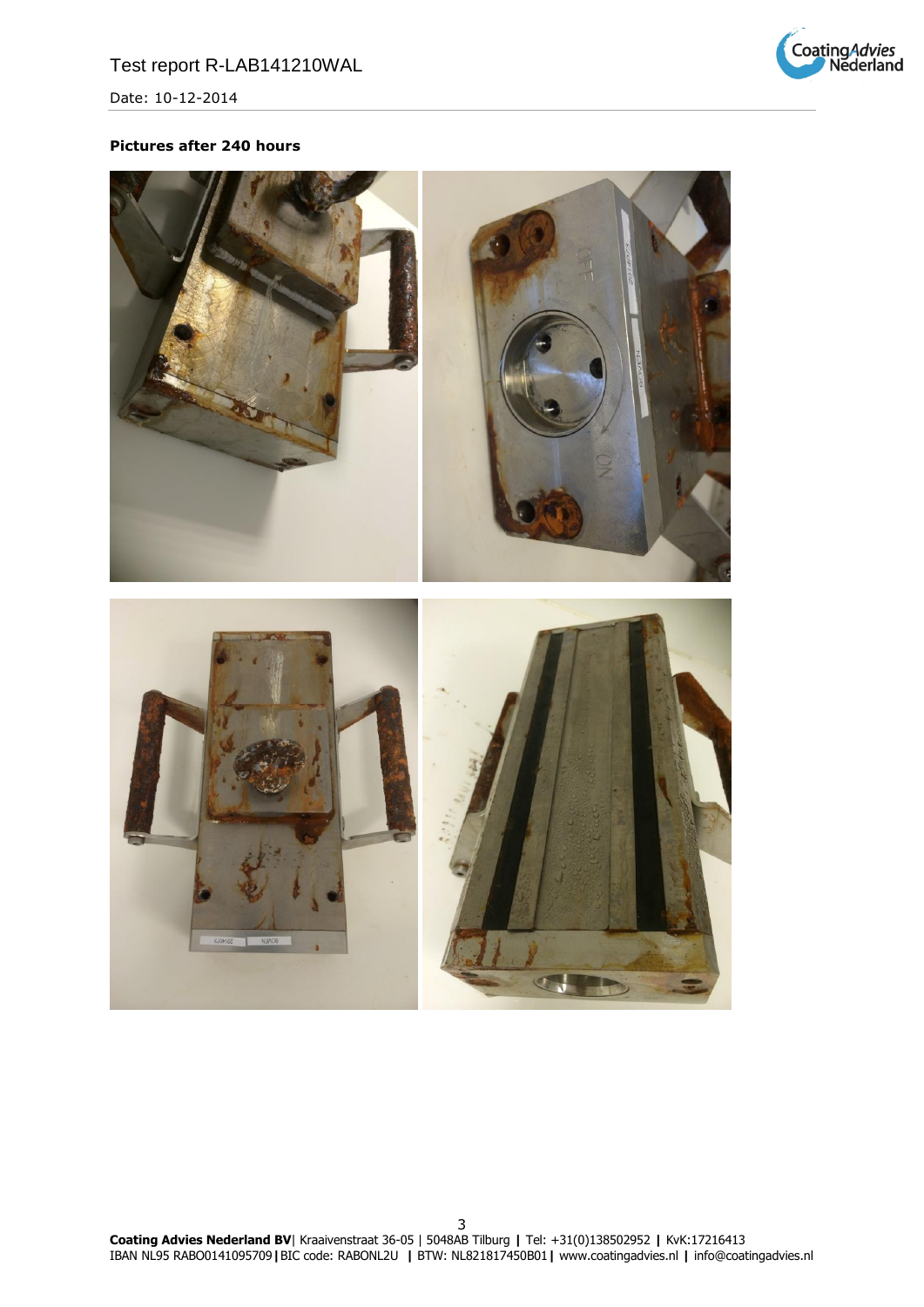

# **Pictures after 240 hours**

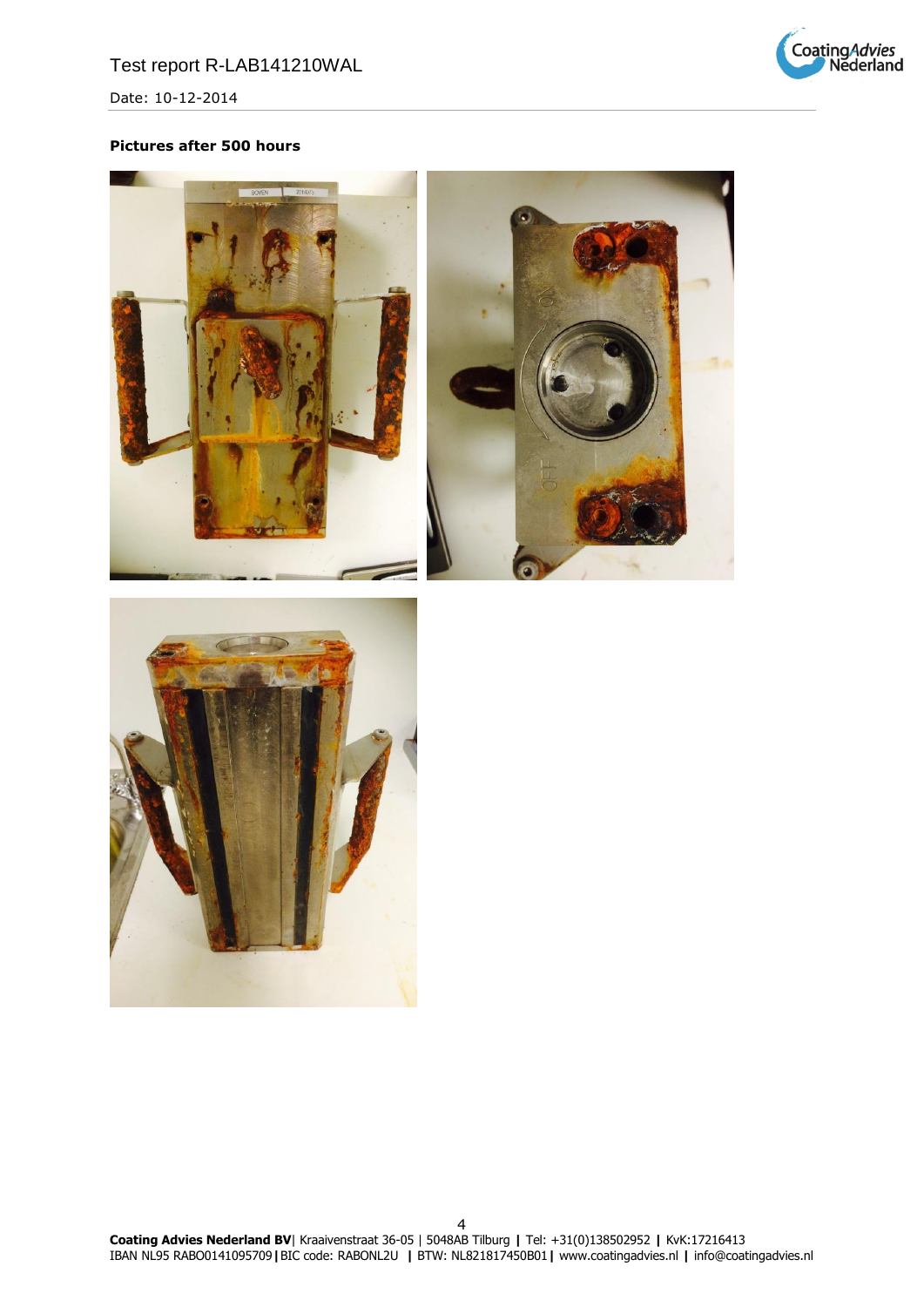

# **Pictures after 500 hours**





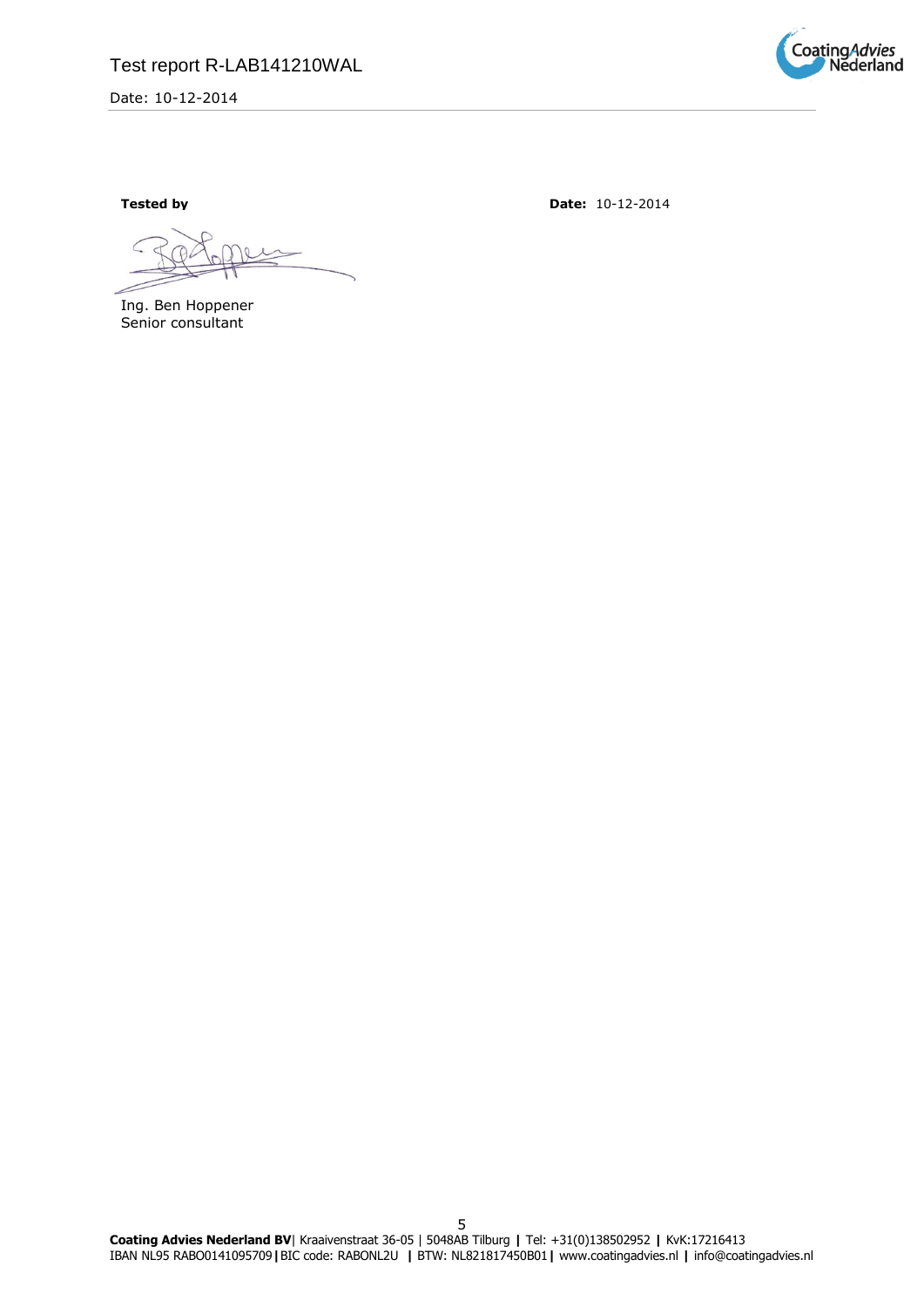

Ing. Ben Hoppener Senior consultant

**Tested by Date:**  $10-12-2014$